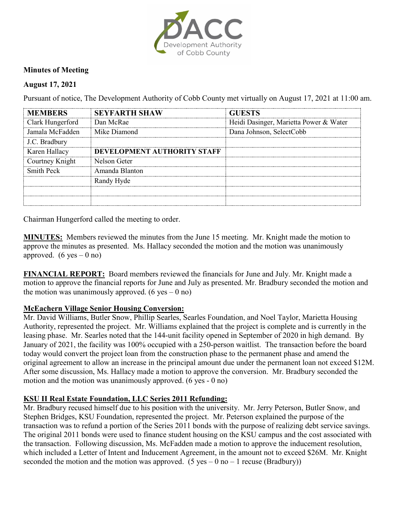

## **Minutes of Meeting**

## **August 17, 2021**

Pursuant of notice, The Development Authority of Cobb County met virtually on August 17, 2021 at 11:00 am.

| <b>MEMRERS</b>   | <b>SEYFARTH SHAW</b>        | <b>GUESTS</b>                          |
|------------------|-----------------------------|----------------------------------------|
| Clark Hungerford | Dan McRae                   | Heidi Dasinger, Marietta Power & Water |
| Jamala McFadden  | Mike Diamond                | Dana Johnson, SelectCobb               |
| J.C. Bradbury    |                             |                                        |
| Karen Hallacy    | DEVELOPMENT AUTHORITY STAFF |                                        |
| Courtney Knight  | Nelson Geter                |                                        |
| Smith Peck       | Amanda Blanton              |                                        |
|                  | Randy Hyde                  |                                        |
|                  |                             |                                        |
|                  |                             |                                        |

Chairman Hungerford called the meeting to order.

**MINUTES:** Members reviewed the minutes from the June 15 meeting. Mr. Knight made the motion to approve the minutes as presented. Ms. Hallacy seconded the motion and the motion was unanimously approved.  $(6 \text{ yes} - 0 \text{ no})$ 

**FINANCIAL REPORT:** Board members reviewed the financials for June and July. Mr. Knight made a motion to approve the financial reports for June and July as presented. Mr. Bradbury seconded the motion and the motion was unanimously approved. (6 yes  $-$  0 no)

## **McEachern Village Senior Housing Conversion:**

Mr. David Williams, Butler Snow, Phillip Searles, Searles Foundation, and Noel Taylor, Marietta Housing Authority, represented the project. Mr. Williams explained that the project is complete and is currently in the leasing phase. Mr. Searles noted that the 144-unit facility opened in September of 2020 in high demand. By January of 2021, the facility was 100% occupied with a 250-person waitlist. The transaction before the board today would convert the project loan from the construction phase to the permanent phase and amend the original agreement to allow an increase in the principal amount due under the permanent loan not exceed \$12M. After some discussion, Ms. Hallacy made a motion to approve the conversion. Mr. Bradbury seconded the motion and the motion was unanimously approved. (6 yes - 0 no)

## **KSU II Real Estate Foundation, LLC Series 2011 Refunding:**

Mr. Bradbury recused himself due to his position with the university. Mr. Jerry Peterson, Butler Snow, and Stephen Bridges, KSU Foundation, represented the project. Mr. Peterson explained the purpose of the transaction was to refund a portion of the Series 2011 bonds with the purpose of realizing debt service savings. The original 2011 bonds were used to finance student housing on the KSU campus and the cost associated with the transaction. Following discussion, Ms. McFadden made a motion to approve the inducement resolution, which included a Letter of Intent and Inducement Agreement, in the amount not to exceed \$26M. Mr. Knight seconded the motion and the motion was approved. (5 yes – 0 no – 1 recuse (Bradbury))